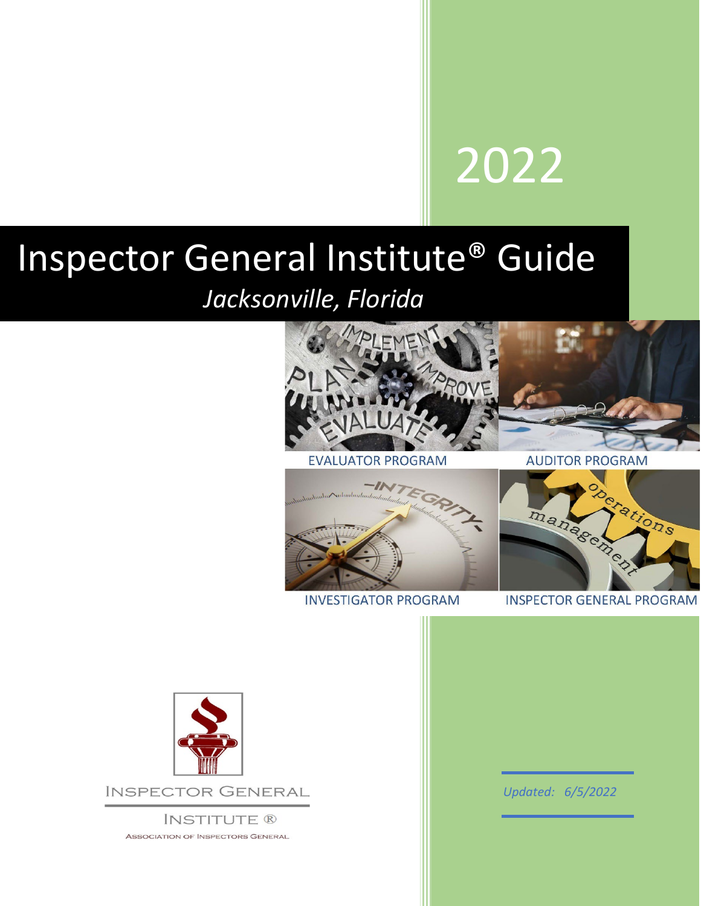# 2022

## Inspector General Institute® Guide

### *Jacksonville, Florida*



**EVALUATOR PROGRAM** 

**AUDITOR PROGRAM** 



**INVESTIGATOR PROGRAM** 



**INSPECTOR GENERAL PROGRAM** 



**INSPECTOR GENERAL** 

**INSTITUTE ® ASSOCIATION OF INSPECTORS GENERAL**  *Updated: 6/5/2022*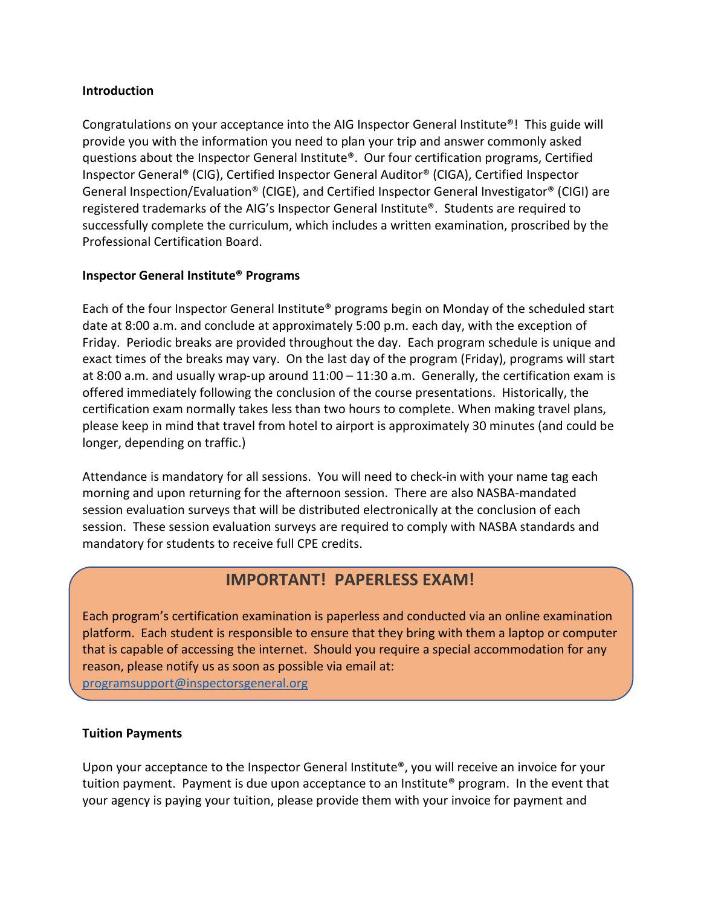#### **Introduction**

Congratulations on your acceptance into the AIG Inspector General Institute®! This guide will provide you with the information you need to plan your trip and answer commonly asked questions about the Inspector General Institute®. Our four certification programs, Certified Inspector General® (CIG), Certified Inspector General Auditor® (CIGA), Certified Inspector General Inspection/Evaluation® (CIGE), and Certified Inspector General Investigator® (CIGI) are registered trademarks of the AIG's Inspector General Institute®. Students are required to successfully complete the curriculum, which includes a written examination, proscribed by the Professional Certification Board.

#### **Inspector General Institute® Programs**

Each of the four Inspector General Institute® programs begin on Monday of the scheduled start date at 8:00 a.m. and conclude at approximately 5:00 p.m. each day, with the exception of Friday. Periodic breaks are provided throughout the day. Each program schedule is unique and exact times of the breaks may vary. On the last day of the program (Friday), programs will start at 8:00 a.m. and usually wrap-up around 11:00 – 11:30 a.m. Generally, the certification exam is offered immediately following the conclusion of the course presentations. Historically, the certification exam normally takes less than two hours to complete. When making travel plans, please keep in mind that travel from hotel to airport is approximately 30 minutes (and could be longer, depending on traffic.)

Attendance is mandatory for all sessions. You will need to check-in with your name tag each morning and upon returning for the afternoon session. There are also NASBA-mandated session evaluation surveys that will be distributed electronically at the conclusion of each session. These session evaluation surveys are required to comply with NASBA standards and mandatory for students to receive full CPE credits.

#### **IMPORTANT! PAPERLESS EXAM!**

Each program's certification examination is paperless and conducted via an online examination platform. Each student is responsible to ensure that they bring with them a laptop or computer that is capable of accessing the internet. Should you require a special accommodation for any reason, please notify us as soon as possible via email at: [programsupport@inspectorsgeneral.org](mailto:programsupport@inspectorsgeneral.org)

#### **Tuition Payments**

Upon your acceptance to the Inspector General Institute®, you will receive an invoice for your tuition payment. Payment is due upon acceptance to an Institute® program. In the event that your agency is paying your tuition, please provide them with your invoice for payment and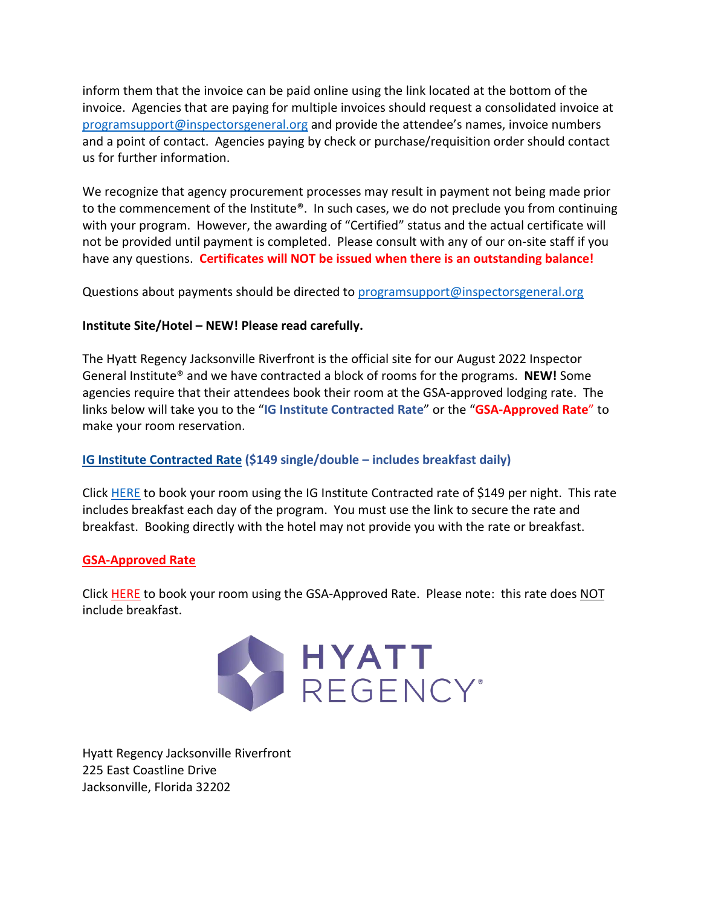inform them that the invoice can be paid online using the link located at the bottom of the invoice. Agencies that are paying for multiple invoices should request a consolidated invoice at [programsupport@inspectorsgeneral.org](mailto:programsupport@inspectorsgeneral.org) and provide the attendee's names, invoice numbers and a point of contact. Agencies paying by check or purchase/requisition order should contact us for further information.

We recognize that agency procurement processes may result in payment not being made prior to the commencement of the Institute®. In such cases, we do not preclude you from continuing with your program. However, the awarding of "Certified" status and the actual certificate will not be provided until payment is completed. Please consult with any of our on-site staff if you have any questions. **Certificates will NOT be issued when there is an outstanding balance!**

Questions about payments should be directed to [programsupport@inspectorsgeneral.org](mailto:programsupport@inspectorsgeneral.org)

#### **Institute Site/Hotel – NEW! Please read carefully.**

The Hyatt Regency Jacksonville Riverfront is the official site for our August 2022 Inspector General Institute® and we have contracted a block of rooms for the programs. **NEW!** Some agencies require that their attendees book their room at the GSA-approved lodging rate. The links below will take you to the "**IG Institute Contracted Rate**" or the "**GSA-Approved Rate**" to make your room reservation.

#### **[IG Institute Contracted Rate](https://www.hyatt.com/en-US/group-booking/JAXRJ/G-ASGI?src=envision_email_grpreserv_ENG_20220517_GroupBooking_TC000000170A000010937ENG_G-_200017) (\$149 single/double – includes breakfast daily)**

Click [HERE](https://www.hyatt.com/en-US/group-booking/JAXRJ/G-ASGI?src=envision_email_grpreserv_ENG_20220517_GroupBooking_TC000000170A000010937ENG_G-_200017) to book your room using the IG Institute Contracted rate of \$149 per night. This rate includes breakfast each day of the program. You must use the link to secure the rate and breakfast. Booking directly with the hotel may not provide you with the rate or breakfast.

#### **[GSA-Approved Rate](https://links.t1.hyatt.com/els/v2/mWdps6g6KQ-q/L29PUm93ZVY5WDdyTmtOUGp4MXhmKzkwbXJ2ZXEzTmt6SHd1ZG1VZ1FZOFZxNSt6eUgzL3lwbU80UHRaTlhCckVCRzVHUTQ5K0oxYkN2aEk1Q3hVMmVZa2tKVkkvdzdzN1B3SjUrOElhR1U9S0/NWZrVHp0ekRpU254Y0YxRzNOdHYxd2xJOC9raVRhUXlXa2xVVFpHU2JEbTRyMmdMNnVSa2R2ZFdvckM0Y1RoY0p2ak41WlUyOGg4b2hNM2tEMjgvQU90YTBVd29qYkZpaWsybnVsYzBnVjZDNHdWZ09FZGUwa0xlbXVZWGxFdEdFS0lON3RCamt2NDdYUjhDb0FpaWNXbEFySVZlaGZQU01zNlR3UjA4eTgxeW04ai8vZCtpY0NkbFRScVFMcnJnMGM1RHY4UGRGQlM3QlV6K1hwS3orc0loZHRKMDJyMzBXNmI2enhqaXIrWi9pY0ZiR1VHa0U4ekZ6c0JGUFZxRAS2)**

Click [HERE](https://links.t1.hyatt.com/els/v2/0d0VC-2-Khx/L29PUm93ZVY5WDdyTmtOUGp4MXhmKzkwbXJ2ZXEzTmt6SHd1ZG1VZ1FZOFZxNSt6eUgzL3lwbU80UHRaTlhCckVCRzVHUTQ5K0oxYkN2aEk1Q3hVMmVZa2tKVkkvdzdzN1B3SjUrOElhR1U9S0/NWZrVHp0ekRpU254Y0YxRzNOdHYxd2xJOC9raVRhUXlXa2xVVFpHU2JEbTRyMmdMNnVSa2R2ZFdvckM0Y1RoY0p2ak41WlUyOGg4b2hNM2tEMjgvQU90YTBVd29qYkZpaWsybnVsYzBnVjZDNHdWZ09FZGUwa0xlbXVZWGxFdEdFS0lON3RCamt2NDdYUjhDb0FpaWNXbEFySVZlaGZQU01zNlR3UjA4eTgxeW04ai8vZCtpY0NkbFRScVFMcnJnMGM1RHY4UGRGQlM3QlV6K1hwS3orc0loZHRKMDJyMzBXNmI2enhqaXIrWi9pY0ZiR1VHa0U4ekZ6c0JGUFZxRAS2) to book your room using the GSA-Approved Rate. Please note: this rate does NOT include breakfast.



Hyatt Regency Jacksonville Riverfront 225 East Coastline Drive Jacksonville, Florida 32202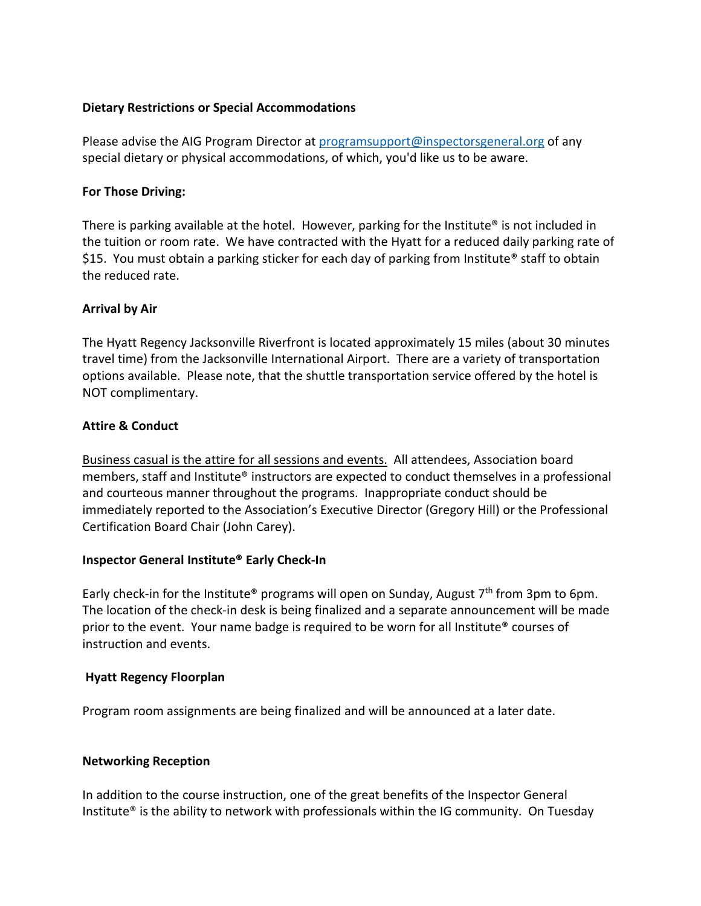#### **Dietary Restrictions or Special Accommodations**

Please advise the AIG Program Director a[t programsupport@inspectorsgeneral.org](mailto:programsupport@inspectorsgeneral.org) of any special dietary or physical accommodations, of which, you'd like us to be aware.

#### **For Those Driving:**

There is parking available at the hotel. However, parking for the Institute<sup>®</sup> is not included in the tuition or room rate. We have contracted with the Hyatt for a reduced daily parking rate of \$15. You must obtain a parking sticker for each day of parking from Institute® staff to obtain the reduced rate.

#### **Arrival by Air**

The Hyatt Regency Jacksonville Riverfront is located approximately 15 miles (about 30 minutes travel time) from the Jacksonville International Airport. There are a variety of transportation options available. Please note, that the shuttle transportation service offered by the hotel is NOT complimentary.

#### **Attire & Conduct**

Business casual is the attire for all sessions and events. All attendees, Association board members, staff and Institute® instructors are expected to conduct themselves in a professional and courteous manner throughout the programs. Inappropriate conduct should be immediately reported to the Association's Executive Director (Gregory Hill) or the Professional Certification Board Chair (John Carey).

#### **Inspector General Institute® Early Check-In**

Early check-in for the Institute<sup>®</sup> programs will open on Sunday, August  $7<sup>th</sup>$  from 3pm to 6pm. The location of the check-in desk is being finalized and a separate announcement will be made prior to the event. Your name badge is required to be worn for all Institute® courses of instruction and events.

#### **Hyatt Regency Floorplan**

Program room assignments are being finalized and will be announced at a later date.

#### **Networking Reception**

In addition to the course instruction, one of the great benefits of the Inspector General Institute® is the ability to network with professionals within the IG community. On Tuesday